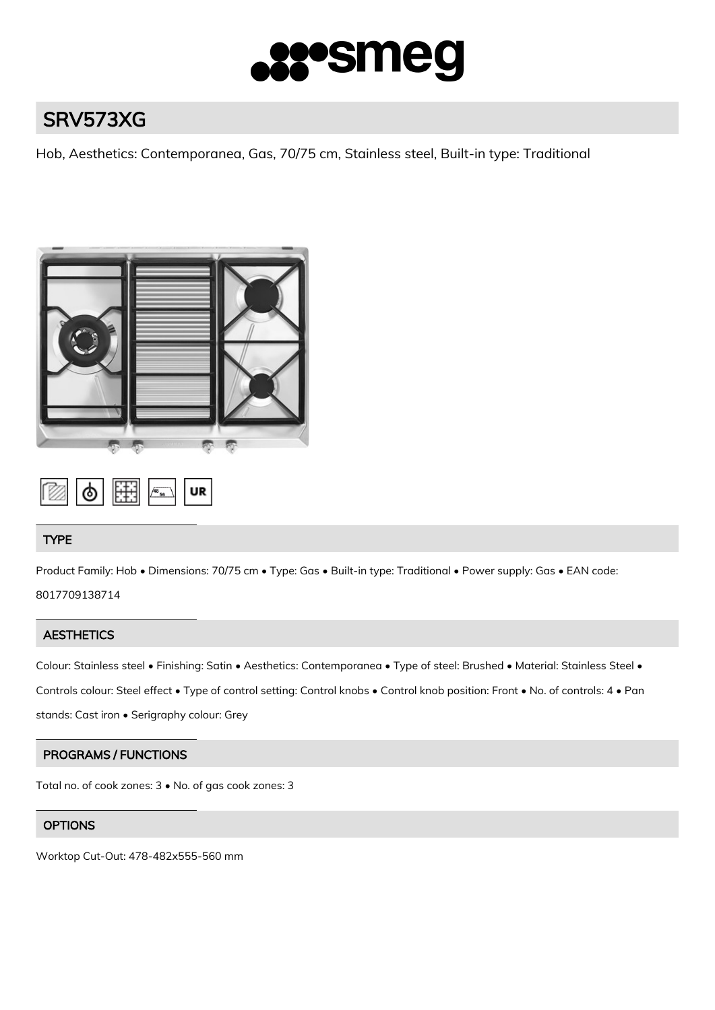

# SRV573XG

Hob, Aesthetics: Contemporanea, Gas, 70/75 cm, Stainless steel, Built-in type: Traditional





# TYPE

Product Family: Hob • Dimensions: 70/75 cm • Type: Gas • Built-in type: Traditional • Power supply: Gas • EAN code: 8017709138714

# **AESTHETICS**

Colour: Stainless steel • Finishing: Satin • Aesthetics: Contemporanea • Type of steel: Brushed • Material: Stainless Steel • Controls colour: Steel effect • Type of control setting: Control knobs • Control knob position: Front • No. of controls: 4 • Pan stands: Cast iron • Serigraphy colour: Grey

# PROGRAMS / FUNCTIONS

Total no. of cook zones: 3 • No. of gas cook zones: 3

# **OPTIONS**

Worktop Cut-Out: 478-482x555-560 mm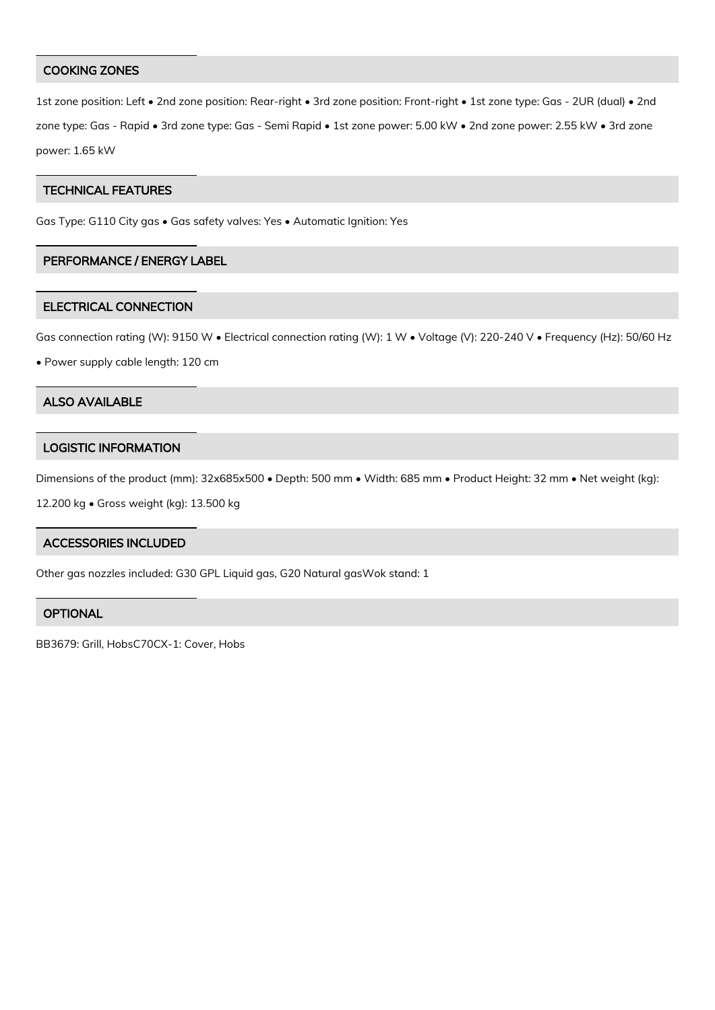## COOKING ZONES

1st zone position: Left • 2nd zone position: Rear-right • 3rd zone position: Front-right • 1st zone type: Gas - 2UR (dual) • 2nd zone type: Gas - Rapid • 3rd zone type: Gas - Semi Rapid • 1st zone power: 5.00 kW • 2nd zone power: 2.55 kW • 3rd zone power: 1.65 kW

## TECHNICAL FEATURES

Gas Type: G110 City gas • Gas safety valves: Yes • Automatic Ignition: Yes

# PERFORMANCE / ENERGY LABEL

#### ELECTRICAL CONNECTION

Gas connection rating (W): 9150 W • Electrical connection rating (W): 1 W • Voltage (V): 220-240 V • Frequency (Hz): 50/60 Hz

• Power supply cable length: 120 cm

## ALSO AVAILABLE

## LOGISTIC INFORMATION

Dimensions of the product (mm): 32x685x500 • Depth: 500 mm • Width: 685 mm • Product Height: 32 mm • Net weight (kg):

12.200 kg • Gross weight (kg): 13.500 kg

## ACCESSORIES INCLUDED

Other gas nozzles included: G30 GPL Liquid gas, G20 Natural gasWok stand: 1

## **OPTIONAL**

BB3679: Grill, HobsC70CX-1: Cover, Hobs